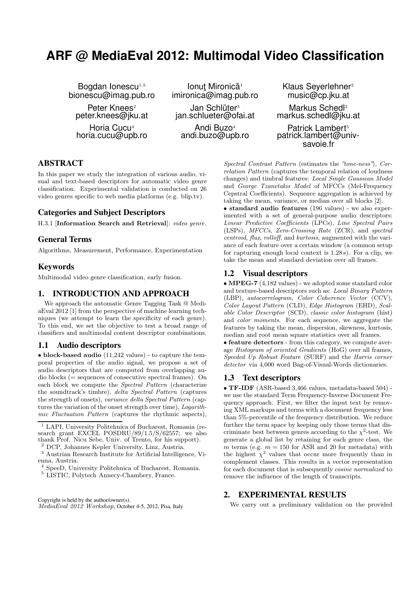# **ARF @ MediaEval 2012: Multimodal Video Classification**

Bogdan Ionescu<sup>1,5</sup> bionescu@imag.pub.ro

Peter Knees $2$ peter.knees@jku.at

Horia Cucu<sup>4</sup> horia.cucu@upb.ro

lonuţ Mironică<sup>1</sup> imironica@imag.pub.ro

Jan Schlüter<sup>3</sup> jan.schlueter@ofai.at

Andi Buzo<sup>4</sup> andi.buzo@upb.ro Klaus Severlehner<sup>2</sup> music@cp.jku.at

Markus Schedl<sup>2</sup> markus.schedl@jku.at

Patrick Lambert<sup>5</sup> patrick.lambert@univsavoie.fr

## **ABSTRACT**

In this paper we study the integration of various audio, visual and text-based descriptors for automatic video genre classification. Experimental validation is conducted on 26 video genres specific to web media platforms (e.g. blip.tv).

# **Categories and Subject Descriptors**

H.3.1 [Information Search and Retrieval]: video genre.

## **General Terms**

Algorithms, Measurement, Performance, Experimentation

### **Keywords**

Multimodal video genre classification, early fusion.

### **1. INTRODUCTION AND APPROACH**

We approach the automatic Genre Tagging Task @ MediaEval 2012 [1] from the perspective of machine learning techniques (we attempt to learn the specificity of each genre). To this end, we set the objective to test a broad range of classifiers and multimodal content descriptor combinations.

## **1.1 Audio descriptors**

• block-based audio (11,242 values) - to capture the temporal properties of the audio signal, we propose a set of audio descriptors that are computed from overlapping audio blocks (= sequences of consecutive spectral frames). On each block we compute the Spectral Pattern (characterize the soundtrack's timbre), delta Spectral Pattern (captures the strength of onsets), variance delta Spectral Pattern (captures the variation of the onset strength over time), Logarithmic Fluctuation Pattern (captures the rhythmic aspects),

Copyright is held by the author/owner(s). MediaEval 2012 Workshop, October 4-5, 2012, Pisa, Italy Spectral Contrast Pattern (estimates the "tone-ness"), Correlation Pattern (captures the temporal relation of loudness changes) and timbral features: Local Single Gaussian Model and George Tzanetakis Model of MFCCs (Mel-Frequency Cepstral Coefficients). Sequence aggregation is achieved by taking the mean, variance, or median over all blocks [2].

• standard audio features (196 values) - we also experimented with a set of general-purpose audio descriptors: Linear Predictive Coefficients (LPCs), Line Spectral Pairs (LSPs), MFCCs, Zero-Crossing Rate (ZCR), and spectral centroid, flux, rolloff, and kurtosis, augmented with the variance of each feature over a certain window (a common setup for capturing enough local context is 1.28 s). For a clip, we take the mean and standard deviation over all frames.

## **1.2 Visual descriptors**

• MPEG-7 (4,182 values) - we adopted some standard color and texture-based descriptors such as: Local Binary Pattern (LBP), autocorrelogram, Color Coherence Vector (CCV), Color Layout Pattern (CLD), Edge Histogram (EHD), Scalable Color Descriptor (SCD), classic color histogram (hist) and color moments. For each sequence, we aggregate the features by taking the mean, dispersion, skewness, kurtosis, median and root mean square statistics over all frames.

• feature detectors - from this category, we compute average Histogram of oriented Gradients (HoG) over all frames, Speeded Up Robust Feature (SURF) and the Harris corner detector via 4,000 word Bag-of-Visual-Words dictionaries.

#### **1.3 Text descriptors**

• TF-IDF (ASR-based 3,466 values, metadata-based 504) we use the standard Term Frequency-Inverse Document Frequency approach. First, we filter the input text by removing XML markups and terms with a document frequency less than 5%-percentile of the frequency distribution. We reduce further the term space by keeping only those terms that discriminate best between genres according to the  $\chi^2$ -test. We generate a global list by retaining for each genre class, the  $m$  terms (e.g.  $m=150$  for ASR and 20 for metadata) with the highest  $\chi^2$  values that occur more frequently than in complement classes. This results in a vector representation for each document that is subsequently cosine normalized to remove the influence of the length of transcripts.

#### **2. EXPERIMENTAL RESULTS**

We carry out a preliminary validation on the provided

<sup>1</sup> LAPI, University Politehnica of Bucharest, Romania (research grant EXCEL POSDRU/89/1.5/S/62557; we also thank Prof. Nicu Sebe, Univ. of Trento, for his support).

 $^{\rm 2}$  DCP, Johannes Kepler University, Linz, Austria.

<sup>3</sup> Austrian Research Institute for Artificial Intelligence, Vienna, Austria.

<sup>4</sup> SpeeD, University Politehnica of Bucharest, Romania.

 $^5$  LISTIC, Polytech Annecy-Chambery, France.